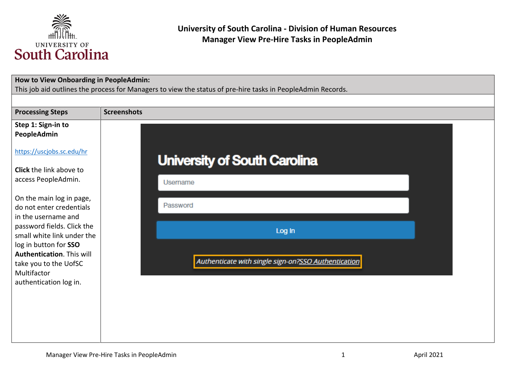

| How to View Onboarding in PeopleAdmin:              | This job aid outlines the process for Managers to view the status of pre-hire tasks in PeopleAdmin Records. |
|-----------------------------------------------------|-------------------------------------------------------------------------------------------------------------|
|                                                     |                                                                                                             |
| <b>Processing Steps</b>                             | <b>Screenshots</b>                                                                                          |
| Step 1: Sign-in to<br>PeopleAdmin                   |                                                                                                             |
| https://uscjobs.sc.edu/hr                           | <b>University of South Carolina</b>                                                                         |
| <b>Click</b> the link above to                      |                                                                                                             |
| access PeopleAdmin.                                 | Username                                                                                                    |
| On the main log in page,                            |                                                                                                             |
| do not enter credentials<br>in the username and     | Password                                                                                                    |
| password fields. Click the                          | Log In                                                                                                      |
| small white link under the<br>log in button for SSO |                                                                                                             |
| Authentication. This will                           |                                                                                                             |
| take you to the UofSC                               | Authenticate with single sign-on?SSO Authentication                                                         |
| Multifactor                                         |                                                                                                             |
| authentication log in.                              |                                                                                                             |
|                                                     |                                                                                                             |
|                                                     |                                                                                                             |
|                                                     |                                                                                                             |
|                                                     |                                                                                                             |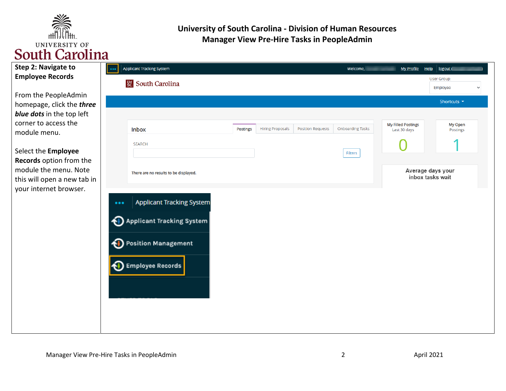

| <b>Step 2: Navigate to</b> |  |
|----------------------------|--|
| <b>Employee Records</b>    |  |
|                            |  |

From the PeopleAdmin homepage, click the *three blue dots* in the top left corner to access the module menu.

Select the **Employee Records** option from the module the menu. Note this will open a new tab in your internet browser.

| $\bullet\bullet\bullet$ | <b>Applicant Tracking System</b>                                     |          |                         |                          | Welcome,                | <b>My Profile</b><br>Help | logout (                                |
|-------------------------|----------------------------------------------------------------------|----------|-------------------------|--------------------------|-------------------------|---------------------------|-----------------------------------------|
|                         | <b>Sc</b> South Carolina                                             |          |                         |                          |                         |                           | User Group:<br>Employee<br>$\checkmark$ |
|                         |                                                                      |          |                         |                          |                         |                           | Shortcuts $\blacktriangleright$         |
|                         |                                                                      |          |                         |                          |                         | <b>My Filled Postings</b> | My Open                                 |
|                         | <b>Inbox</b>                                                         | Postings | <b>Hiring Proposals</b> | <b>Position Requests</b> | <b>Onboarding Tasks</b> | Last 30 days              | Postings                                |
|                         | <b>SEARCH</b>                                                        |          |                         |                          | Filters                 |                           |                                         |
|                         | There are no results to be displayed.                                |          |                         |                          |                         |                           | Average days your<br>inbox tasks wait   |
| $\bullet\bullet\bullet$ | <b>Applicant Tracking System</b><br><b>Applicant Tracking System</b> |          |                         |                          |                         |                           |                                         |
|                         | <b>D</b> Position Management                                         |          |                         |                          |                         |                           |                                         |
| Ń.                      | Employee Records <mark> </mark>                                      |          |                         |                          |                         |                           |                                         |
|                         |                                                                      |          |                         |                          |                         |                           |                                         |
|                         |                                                                      |          |                         |                          |                         |                           |                                         |
|                         |                                                                      |          |                         |                          |                         |                           |                                         |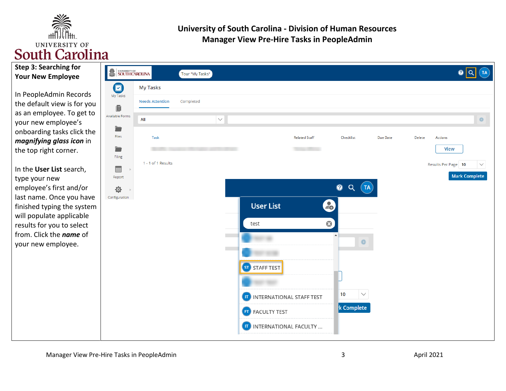

| Step 3: Searching for    |
|--------------------------|
| <b>Your New Employee</b> |
|                          |

In PeopleAdmin Records the default view is for you as an employee. To get to your new employee's onboarding tasks click the *magnifying glass icon* in the top right corner.

In the **User List** search, type your new employee's first and/or last name. Once you have finished typing the system will populate applicable results for you to select from. Click the *name* of your new employee.

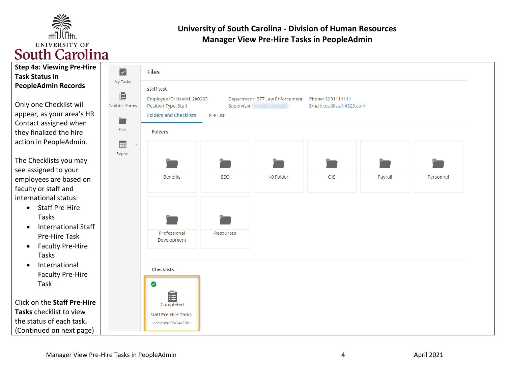

| <b>Step 4a: Viewing Pre-Hire</b><br><b>Task Status in</b>                                        | $\boxed{\checkmark}$                      | <b>Files</b><br>staff test<br>Employee ID: UserId_280293<br>Department: BFT Law Enforcement<br>Phone: 8031111111<br>Position Type: Staff<br>Email: test@staff4323.com<br>Supervisor<br><b>Folders and Checklists</b><br><b>File List</b><br><b>Folders</b> |           |            |     |         |           |  |
|--------------------------------------------------------------------------------------------------|-------------------------------------------|------------------------------------------------------------------------------------------------------------------------------------------------------------------------------------------------------------------------------------------------------------|-----------|------------|-----|---------|-----------|--|
| <b>PeopleAdmin Records</b>                                                                       | My Tasks<br>直<br>Available Forms<br>Files |                                                                                                                                                                                                                                                            |           |            |     |         |           |  |
| Only one Checklist will<br>appear, as your area's HR<br>Contact assigned when                    |                                           |                                                                                                                                                                                                                                                            |           |            |     |         |           |  |
| they finalized the hire<br>action in PeopleAdmin.                                                | <b>FILL</b>                               |                                                                                                                                                                                                                                                            |           |            |     |         |           |  |
| The Checklists you may<br>see assigned to your                                                   | Report                                    |                                                                                                                                                                                                                                                            |           |            |     |         |           |  |
| employees are based on<br>faculty or staff and                                                   |                                           | <b>Benefits</b>                                                                                                                                                                                                                                            | EEO       | I-9 Folder | OIS | Payroll | Personnel |  |
| international status:<br><b>Staff Pre-Hire</b><br>$\bullet$<br>Tasks                             |                                           |                                                                                                                                                                                                                                                            |           |            |     |         |           |  |
| <b>International Staff</b><br>$\bullet$<br>Pre-Hire Task<br><b>Faculty Pre-Hire</b><br>$\bullet$ |                                           | Professional<br>Development                                                                                                                                                                                                                                | Resources |            |     |         |           |  |
| Tasks<br>International<br>$\bullet$                                                              |                                           | Checklists                                                                                                                                                                                                                                                 |           |            |     |         |           |  |
| <b>Faculty Pre-Hire</b><br>Task                                                                  |                                           | $\bullet$<br>E                                                                                                                                                                                                                                             |           |            |     |         |           |  |
| Click on the Staff Pre-Hire<br>Tasks checklist to view                                           |                                           | Completed<br><b>Staff Pre-Hire Tasks</b>                                                                                                                                                                                                                   |           |            |     |         |           |  |
| the status of each task.<br>(Continued on next page)                                             |                                           | Assigned 03/24/2021                                                                                                                                                                                                                                        |           |            |     |         |           |  |